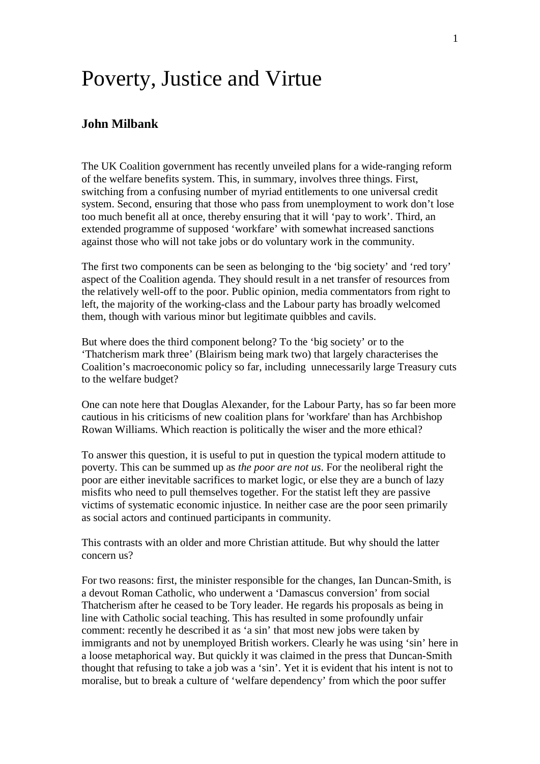## Poverty, Justice and Virtue

## **John Milbank**

The UK Coalition government has recently unveiled plans for a wide-ranging reform of the welfare benefits system. This, in summary, involves three things. First, switching from a confusing number of myriad entitlements to one universal credit system. Second, ensuring that those who pass from unemployment to work don't lose too much benefit all at once, thereby ensuring that it will 'pay to work'. Third, an extended programme of supposed 'workfare' with somewhat increased sanctions against those who will not take jobs or do voluntary work in the community.

The first two components can be seen as belonging to the 'big society' and 'red tory' aspect of the Coalition agenda. They should result in a net transfer of resources from the relatively well-off to the poor. Public opinion, media commentators from right to left, the majority of the working-class and the Labour party has broadly welcomed them, though with various minor but legitimate quibbles and cavils.

But where does the third component belong? To the 'big society' or to the 'Thatcherism mark three' (Blairism being mark two) that largely characterises the Coalition's macroeconomic policy so far, including unnecessarily large Treasury cuts to the welfare budget?

One can note here that Douglas Alexander, for the Labour Party, has so far been more cautious in his criticisms of new coalition plans for 'workfare' than has Archbishop Rowan Williams. Which reaction is politically the wiser and the more ethical?

To answer this question, it is useful to put in question the typical modern attitude to poverty. This can be summed up as *the poor are not us*. For the neoliberal right the poor are either inevitable sacrifices to market logic, or else they are a bunch of lazy misfits who need to pull themselves together. For the statist left they are passive victims of systematic economic injustice. In neither case are the poor seen primarily as social actors and continued participants in community.

This contrasts with an older and more Christian attitude. But why should the latter concern us?

For two reasons: first, the minister responsible for the changes, Ian Duncan-Smith, is a devout Roman Catholic, who underwent a 'Damascus conversion' from social Thatcherism after he ceased to be Tory leader. He regards his proposals as being in line with Catholic social teaching. This has resulted in some profoundly unfair comment: recently he described it as 'a sin' that most new jobs were taken by immigrants and not by unemployed British workers. Clearly he was using 'sin' here in a loose metaphorical way. But quickly it was claimed in the press that Duncan-Smith thought that refusing to take a job was a 'sin'. Yet it is evident that his intent is not to moralise, but to break a culture of 'welfare dependency' from which the poor suffer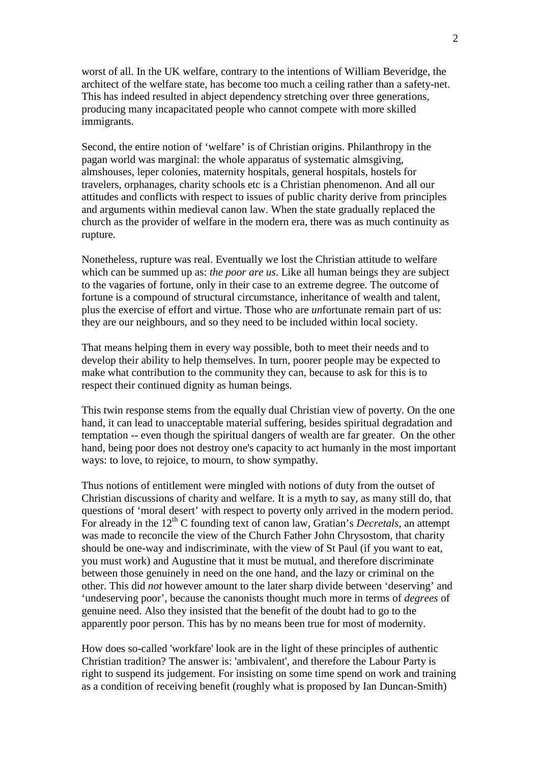worst of all. In the UK welfare, contrary to the intentions of William Beveridge, the architect of the welfare state, has become too much a ceiling rather than a safety-net. This has indeed resulted in abject dependency stretching over three generations, producing many incapacitated people who cannot compete with more skilled immigrants.

Second, the entire notion of 'welfare' is of Christian origins. Philanthropy in the pagan world was marginal: the whole apparatus of systematic almsgiving, almshouses, leper colonies, maternity hospitals, general hospitals, hostels for travelers, orphanages, charity schools etc is a Christian phenomenon. And all our attitudes and conflicts with respect to issues of public charity derive from principles and arguments within medieval canon law. When the state gradually replaced the church as the provider of welfare in the modern era, there was as much continuity as rupture.

Nonetheless, rupture was real. Eventually we lost the Christian attitude to welfare which can be summed up as: *the poor are us*. Like all human beings they are subject to the vagaries of fortune, only in their case to an extreme degree. The outcome of fortune is a compound of structural circumstance, inheritance of wealth and talent, plus the exercise of effort and virtue. Those who are *un*fortunate remain part of us: they are our neighbours, and so they need to be included within local society.

That means helping them in every way possible, both to meet their needs and to develop their ability to help themselves. In turn, poorer people may be expected to make what contribution to the community they can, because to ask for this is to respect their continued dignity as human beings.

This twin response stems from the equally dual Christian view of poverty. On the one hand, it can lead to unacceptable material suffering, besides spiritual degradation and temptation -- even though the spiritual dangers of wealth are far greater. On the other hand, being poor does not destroy one's capacity to act humanly in the most important ways: to love, to rejoice, to mourn, to show sympathy.

Thus notions of entitlement were mingled with notions of duty from the outset of Christian discussions of charity and welfare. It is a myth to say, as many still do, that questions of 'moral desert' with respect to poverty only arrived in the modern period. For already in the 12<sup>th</sup> C founding text of canon law, Gratian's *Decretals*, an attempt was made to reconcile the view of the Church Father John Chrysostom, that charity should be one-way and indiscriminate, with the view of St Paul (if you want to eat, you must work) and Augustine that it must be mutual, and therefore discriminate between those genuinely in need on the one hand, and the lazy or criminal on the other. This did *not* however amount to the later sharp divide between 'deserving' and 'undeserving poor', because the canonists thought much more in terms of *degrees* of genuine need. Also they insisted that the benefit of the doubt had to go to the apparently poor person. This has by no means been true for most of modernity.

How does so-called 'workfare' look are in the light of these principles of authentic Christian tradition? The answer is: 'ambivalent', and therefore the Labour Party is right to suspend its judgement. For insisting on some time spend on work and training as a condition of receiving benefit (roughly what is proposed by Ian Duncan-Smith)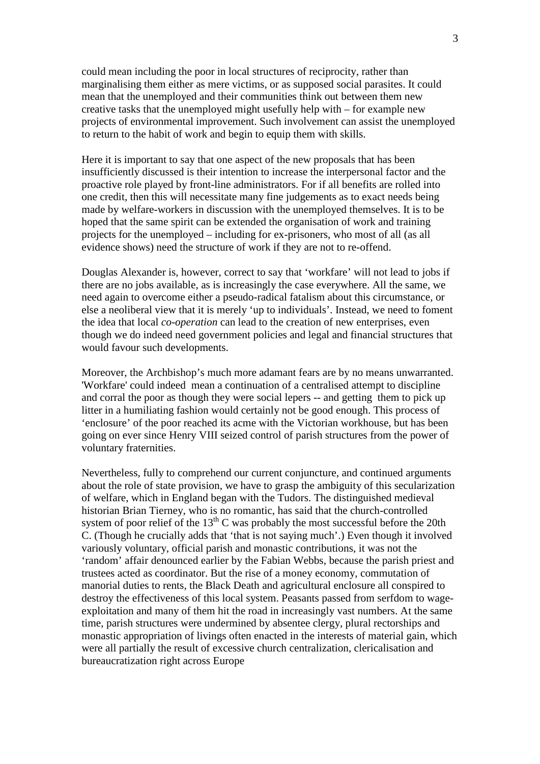could mean including the poor in local structures of reciprocity, rather than marginalising them either as mere victims, or as supposed social parasites. It could mean that the unemployed and their communities think out between them new creative tasks that the unemployed might usefully help with – for example new projects of environmental improvement. Such involvement can assist the unemployed to return to the habit of work and begin to equip them with skills.

Here it is important to say that one aspect of the new proposals that has been insufficiently discussed is their intention to increase the interpersonal factor and the proactive role played by front-line administrators. For if all benefits are rolled into one credit, then this will necessitate many fine judgements as to exact needs being made by welfare-workers in discussion with the unemployed themselves. It is to be hoped that the same spirit can be extended the organisation of work and training projects for the unemployed – including for ex-prisoners, who most of all (as all evidence shows) need the structure of work if they are not to re-offend.

Douglas Alexander is, however, correct to say that 'workfare' will not lead to jobs if there are no jobs available, as is increasingly the case everywhere. All the same, we need again to overcome either a pseudo-radical fatalism about this circumstance, or else a neoliberal view that it is merely 'up to individuals'. Instead, we need to foment the idea that local *co-operation* can lead to the creation of new enterprises, even though we do indeed need government policies and legal and financial structures that would favour such developments.

Moreover, the Archbishop's much more adamant fears are by no means unwarranted. 'Workfare' could indeed mean a continuation of a centralised attempt to discipline and corral the poor as though they were social lepers -- and getting them to pick up litter in a humiliating fashion would certainly not be good enough. This process of 'enclosure' of the poor reached its acme with the Victorian workhouse, but has been going on ever since Henry VIII seized control of parish structures from the power of voluntary fraternities.

Nevertheless, fully to comprehend our current conjuncture, and continued arguments about the role of state provision, we have to grasp the ambiguity of this secularization of welfare, which in England began with the Tudors. The distinguished medieval historian Brian Tierney, who is no romantic, has said that the church-controlled system of poor relief of the  $13<sup>th</sup>$  C was probably the most successful before the 20th C. (Though he crucially adds that 'that is not saying much'.) Even though it involved variously voluntary, official parish and monastic contributions, it was not the 'random' affair denounced earlier by the Fabian Webbs, because the parish priest and trustees acted as coordinator. But the rise of a money economy, commutation of manorial duties to rents, the Black Death and agricultural enclosure all conspired to destroy the effectiveness of this local system. Peasants passed from serfdom to wageexploitation and many of them hit the road in increasingly vast numbers. At the same time, parish structures were undermined by absentee clergy, plural rectorships and monastic appropriation of livings often enacted in the interests of material gain, which were all partially the result of excessive church centralization, clericalisation and bureaucratization right across Europe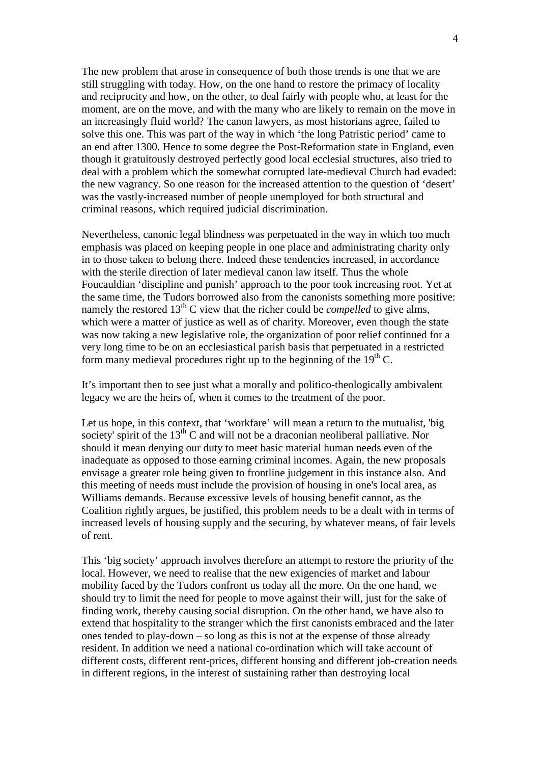The new problem that arose in consequence of both those trends is one that we are still struggling with today. How, on the one hand to restore the primacy of locality and reciprocity and how, on the other, to deal fairly with people who, at least for the moment, are on the move, and with the many who are likely to remain on the move in an increasingly fluid world? The canon lawyers, as most historians agree, failed to solve this one. This was part of the way in which 'the long Patristic period' came to an end after 1300. Hence to some degree the Post-Reformation state in England, even though it gratuitously destroyed perfectly good local ecclesial structures, also tried to deal with a problem which the somewhat corrupted late-medieval Church had evaded: the new vagrancy. So one reason for the increased attention to the question of 'desert' was the vastly-increased number of people unemployed for both structural and criminal reasons, which required judicial discrimination.

Nevertheless, canonic legal blindness was perpetuated in the way in which too much emphasis was placed on keeping people in one place and administrating charity only in to those taken to belong there. Indeed these tendencies increased, in accordance with the sterile direction of later medieval canon law itself. Thus the whole Foucauldian 'discipline and punish' approach to the poor took increasing root. Yet at the same time, the Tudors borrowed also from the canonists something more positive: namely the restored  $13<sup>th</sup>$  C view that the richer could be *compelled* to give alms, which were a matter of justice as well as of charity. Moreover, even though the state was now taking a new legislative role, the organization of poor relief continued for a very long time to be on an ecclesiastical parish basis that perpetuated in a restricted form many medieval procedures right up to the beginning of the  $19<sup>th</sup>$  C.

It's important then to see just what a morally and politico-theologically ambivalent legacy we are the heirs of, when it comes to the treatment of the poor.

Let us hope, in this context, that 'workfare' will mean a return to the mutualist, 'big society' spirit of the  $13<sup>th</sup>$  C and will not be a draconian neoliberal palliative. Nor should it mean denying our duty to meet basic material human needs even of the inadequate as opposed to those earning criminal incomes. Again, the new proposals envisage a greater role being given to frontline judgement in this instance also. And this meeting of needs must include the provision of housing in one's local area, as Williams demands. Because excessive levels of housing benefit cannot, as the Coalition rightly argues, be justified, this problem needs to be a dealt with in terms of increased levels of housing supply and the securing, by whatever means, of fair levels of rent.

This 'big society' approach involves therefore an attempt to restore the priority of the local. However, we need to realise that the new exigencies of market and labour mobility faced by the Tudors confront us today all the more. On the one hand, we should try to limit the need for people to move against their will, just for the sake of finding work, thereby causing social disruption. On the other hand, we have also to extend that hospitality to the stranger which the first canonists embraced and the later ones tended to play-down – so long as this is not at the expense of those already resident. In addition we need a national co-ordination which will take account of different costs, different rent-prices, different housing and different job-creation needs in different regions, in the interest of sustaining rather than destroying local